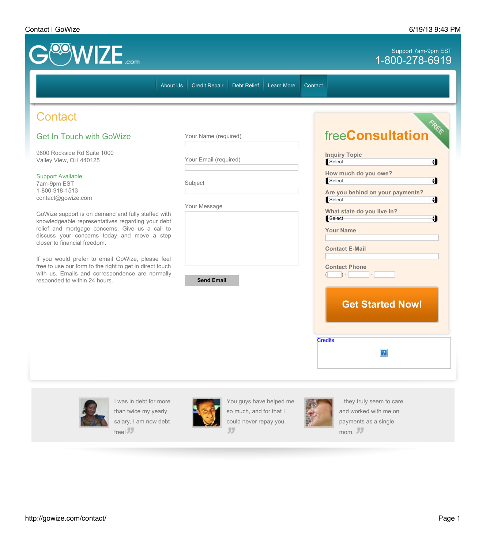## Contact | GoWize 6/19/13 9:43 PM



33

free!

mom.